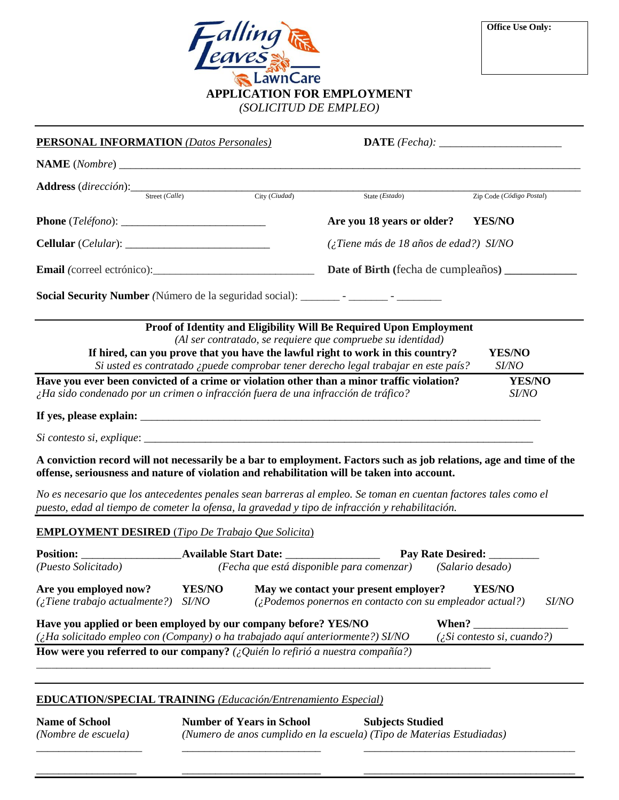

| <b>PERSONAL INFORMATION</b> (Datos Personales)                                                                                                                                  |  |  |                                                                                                                                                                                                                                                                                                            |                          |  |  |
|---------------------------------------------------------------------------------------------------------------------------------------------------------------------------------|--|--|------------------------------------------------------------------------------------------------------------------------------------------------------------------------------------------------------------------------------------------------------------------------------------------------------------|--------------------------|--|--|
|                                                                                                                                                                                 |  |  |                                                                                                                                                                                                                                                                                                            |                          |  |  |
| <b>Address</b> (dirección): Street (Calle) City (Ciudad)                                                                                                                        |  |  | State $(Estado)$                                                                                                                                                                                                                                                                                           | Zip Code (Código Postal) |  |  |
|                                                                                                                                                                                 |  |  | Are you 18 years or older?                                                                                                                                                                                                                                                                                 | <b>YES/NO</b>            |  |  |
|                                                                                                                                                                                 |  |  | $\chi$ Tiene más de 18 años de edad?) SI/NO                                                                                                                                                                                                                                                                |                          |  |  |
|                                                                                                                                                                                 |  |  | Date of Birth (fecha de cumpleaños) _______                                                                                                                                                                                                                                                                |                          |  |  |
|                                                                                                                                                                                 |  |  | Proof of Identity and Eligibility Will Be Required Upon Employment<br>(Al ser contratado, se requiere que compruebe su identidad)<br>If hired, can you prove that you have the lawful right to work in this country?<br>Si usted es contratado ¿puede comprobar tener derecho legal trabajar en este país? | <b>YES/NO</b><br>SI/NO   |  |  |
| Have you ever been convicted of a crime or violation other than a minor traffic violation?<br>¿Ha sido condenado por un crimen o infracción fuera de una infracción de tráfico? |  |  | YES/NO<br>SI/NO                                                                                                                                                                                                                                                                                            |                          |  |  |
|                                                                                                                                                                                 |  |  |                                                                                                                                                                                                                                                                                                            |                          |  |  |
|                                                                                                                                                                                 |  |  |                                                                                                                                                                                                                                                                                                            |                          |  |  |
|                                                                                                                                                                                 |  |  | A conviction record will not necessarily be a bar to employment. Factors such as job relations, age and time of the<br>offense, seriousness and nature of violation and rehabilitation will be taken into account.                                                                                         |                          |  |  |
|                                                                                                                                                                                 |  |  | No es necesario que los antecedentes penales sean barreras al empleo. Se toman en cuentan factores tales como el                                                                                                                                                                                           |                          |  |  |

*puesto, edad al tiempo de cometer la ofensa, la gravedad y tipo de infracción y rehabilitación.*

## **EMPLOYMENT DESIRED** (*Tipo De Trabajo Que Solicita*)

| <b>Position:</b><br>(Puesto Solicitado)                                                                                                                                                                                                                                                                   | <b>Available Start Date:</b><br>(Fecha que está disponible para comenzar)                                                            |                                                                               | <b>Pay Rate Desired:</b><br>(Salario desado) |              |
|-----------------------------------------------------------------------------------------------------------------------------------------------------------------------------------------------------------------------------------------------------------------------------------------------------------|--------------------------------------------------------------------------------------------------------------------------------------|-------------------------------------------------------------------------------|----------------------------------------------|--------------|
| Are you employed now?<br>$($ ; Tiene trabajo actualmente?)                                                                                                                                                                                                                                                | <b>YES/NO</b><br>May we contact your present employer?<br>$(2Podemos ponernos en contacto con su empleador actual?)$<br><i>SI/NO</i> |                                                                               | YES/NO                                       | <i>SI/NO</i> |
| Have you applied or been employed by our company before? YES/NO<br>When? The control of the control of the control of the control of the control of the control of the control of<br>$\chi$ Ha solicitado empleo con (Company) o ha trabajado aquí anteriormente?) SI/NO<br>$(z$ Si contesto si, cuando?) |                                                                                                                                      |                                                                               |                                              |              |
|                                                                                                                                                                                                                                                                                                           |                                                                                                                                      | How were you referred to our company? (¿Quién lo refirió a nuestra compañía?) |                                              |              |

\_\_\_\_\_\_\_\_\_\_\_\_\_\_\_\_\_\_ \_\_\_\_\_\_\_\_\_\_\_\_\_\_\_\_\_\_\_\_\_\_\_\_\_ \_\_\_\_\_\_\_\_\_\_\_\_\_\_\_\_\_\_\_\_\_\_\_\_\_\_\_\_\_\_\_\_\_\_\_\_\_\_

## **EDUCATION/SPECIAL TRAINING** *(Educación/Entrenamiento Especial)*

**Name of School Number of Years in School Subjects Studied** *(Nombre de escuela) (Numero de anos cumplido en la escuela) (Tipo de Materias Estudiadas)* \_\_\_\_\_\_\_\_\_\_\_\_\_\_\_\_\_\_\_ \_\_\_\_\_\_\_\_\_\_\_\_\_\_\_\_\_\_\_\_\_\_\_\_\_ \_\_\_\_\_\_\_\_\_\_\_\_\_\_\_\_\_\_\_\_\_\_\_\_\_\_\_\_\_\_\_\_\_\_\_\_\_\_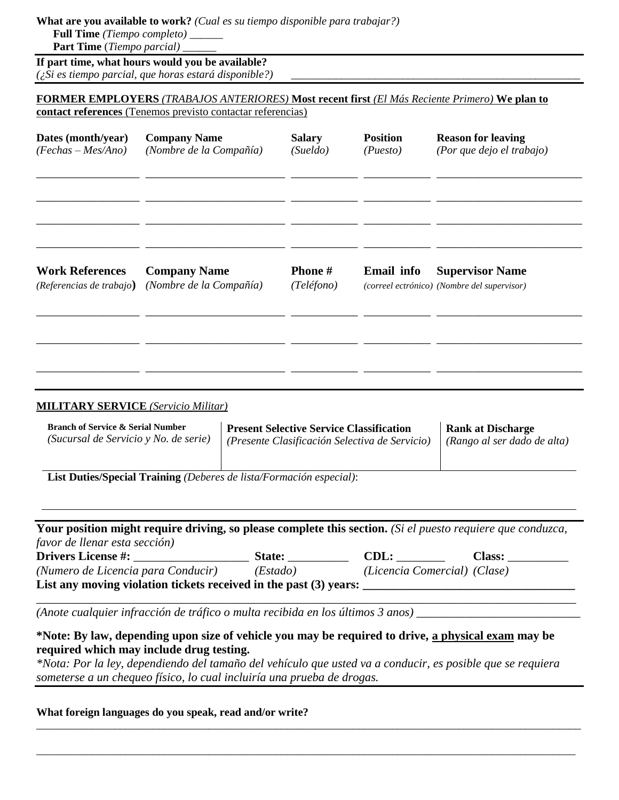## **What are you available to work?** *(Cual es su tiempo disponible para trabajar?)*

 **Full Time** *(Tiempo completo)* \_\_\_\_\_\_  **Part Time** (*Tiempo parcial)* \_\_\_\_\_\_

**If part time, what hours would you be available?** *(¿Si es tiempo parcial, que horas estará disponible?)* \_\_\_\_\_\_\_\_\_\_\_\_\_\_\_\_\_\_\_\_\_\_\_\_\_\_\_\_\_\_\_\_\_\_\_\_\_\_\_\_\_\_\_\_\_\_\_\_\_\_\_\_

## **FORMER EMPLOYERS** *(TRABAJOS ANTERIORES)* **Most recent first** *(El Más Reciente Primero)* **We plan to contact references** (Tenemos previsto contactar referencias)

| Dates (month/year)       | <b>Company Name</b>     | <b>Salary</b> | <b>Position</b>   | <b>Reason for leaving</b>                   |
|--------------------------|-------------------------|---------------|-------------------|---------------------------------------------|
| $(Fechas-Mes/Ano)$       | (Nombre de la Compañía) | (Su el do)    | (Puesto)          | (Por que dejo el trabajo)                   |
|                          |                         |               |                   |                                             |
| <b>Work References</b>   | <b>Company Name</b>     | <b>Phone#</b> | <b>Email</b> info | <b>Supervisor Name</b>                      |
| (Referencias de trabajo) | (Nombre de la Compañía) | (Teléfono)    |                   | (correel ectrónico) (Nombre del supervisor) |
|                          |                         |               |                   |                                             |

#### **MILITARY SERVICE** *(Servicio Militar)*

| <b>Branch of Service &amp; Serial Number</b> | <b>Present Selective Service Classification</b> | <b>Rank at Discharge</b>    |
|----------------------------------------------|-------------------------------------------------|-----------------------------|
| (Sucursal de Servicio y No. de serie)        | (Presente Clasificación Selectiva de Servicio)  | (Rango al ser dado de alta) |
|                                              |                                                 |                             |

**List Duties/Special Training** *(Deberes de lista/Formación especial)*:

| Your position might require driving, so please complete this section. (Si el puesto requiere que conduzca, |               |                              |               |  |  |  |
|------------------------------------------------------------------------------------------------------------|---------------|------------------------------|---------------|--|--|--|
| favor de llenar esta sección)                                                                              |               |                              |               |  |  |  |
| <b>Drivers License #:</b>                                                                                  | <b>State:</b> | CDL:                         | <b>Class:</b> |  |  |  |
| (Numero de Licencia para Conducir)                                                                         | (Estado)      | (Licencia Comercial) (Clase) |               |  |  |  |
| List any moving violation tickets received in the past (3) years:                                          |               |                              |               |  |  |  |

\_\_\_\_\_\_\_\_\_\_\_\_\_\_\_\_\_\_\_\_\_\_\_\_\_\_\_\_\_\_\_\_\_\_\_\_\_\_\_\_\_\_\_\_\_\_\_\_\_\_\_\_\_\_\_\_\_\_\_\_\_\_\_\_\_\_\_\_\_\_\_\_\_\_\_\_\_\_\_\_\_\_\_\_\_\_\_\_\_

*(Anote cualquier infracción de tráfico o multa recibida en los últimos 3 anos)* \_\_\_\_\_\_\_\_\_\_\_\_\_\_\_\_\_\_\_\_\_\_\_\_\_\_\_

# **\*Note: By law, depending upon size of vehicle you may be required to drive, a physical exam may be required which may include drug testing.**

*\*Nota: Por la ley, dependiendo del tamaño del vehículo que usted va a conducir, es posible que se requiera someterse a un chequeo físico, lo cual incluiría una prueba de drogas.*

\_\_\_\_\_\_\_\_\_\_\_\_\_\_\_\_\_\_\_\_\_\_\_\_\_\_\_\_\_\_\_\_\_\_\_\_\_\_\_\_\_\_\_\_\_\_\_\_\_\_\_\_\_\_\_\_\_\_\_\_\_\_\_\_\_\_\_\_\_\_\_\_\_\_\_\_\_\_\_\_\_\_\_\_\_\_\_\_\_\_\_\_\_\_\_\_\_\_

\_\_\_\_\_\_\_\_\_\_\_\_\_\_\_\_\_\_\_\_\_\_\_\_\_\_\_\_\_\_\_\_\_\_\_\_\_\_\_\_\_\_\_\_\_\_\_\_\_\_\_\_\_\_\_\_\_\_\_\_\_\_\_\_\_\_\_\_\_\_\_\_\_\_\_\_\_\_\_\_\_\_\_\_\_\_\_\_\_\_\_\_\_\_\_\_\_

## **What foreign languages do you speak, read and/or write?**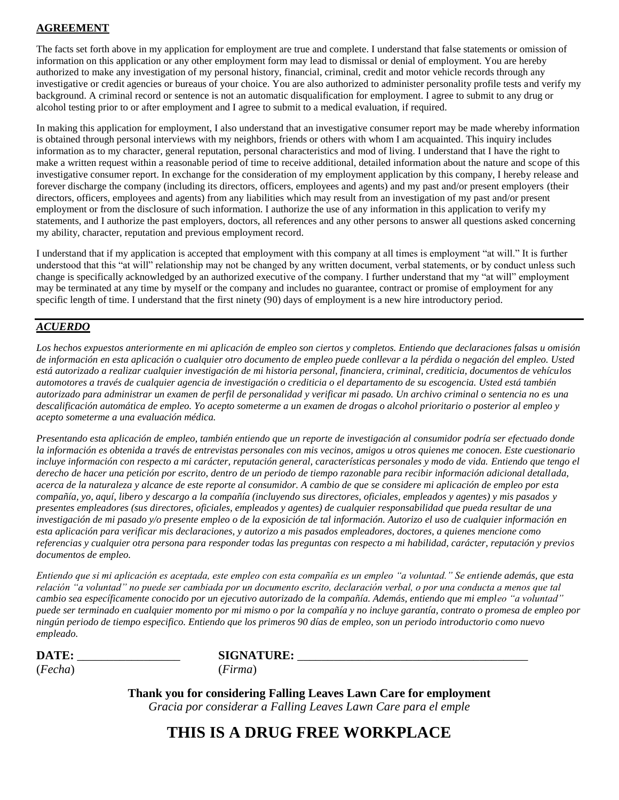# **AGREEMENT**

The facts set forth above in my application for employment are true and complete. I understand that false statements or omission of information on this application or any other employment form may lead to dismissal or denial of employment. You are hereby authorized to make any investigation of my personal history, financial, criminal, credit and motor vehicle records through any investigative or credit agencies or bureaus of your choice. You are also authorized to administer personality profile tests and verify my background. A criminal record or sentence is not an automatic disqualification for employment. I agree to submit to any drug or alcohol testing prior to or after employment and I agree to submit to a medical evaluation, if required.

In making this application for employment, I also understand that an investigative consumer report may be made whereby information is obtained through personal interviews with my neighbors, friends or others with whom I am acquainted. This inquiry includes information as to my character, general reputation, personal characteristics and mod of living. I understand that I have the right to make a written request within a reasonable period of time to receive additional, detailed information about the nature and scope of this investigative consumer report. In exchange for the consideration of my employment application by this company, I hereby release and forever discharge the company (including its directors, officers, employees and agents) and my past and/or present employers (their directors, officers, employees and agents) from any liabilities which may result from an investigation of my past and/or present employment or from the disclosure of such information. I authorize the use of any information in this application to verify my statements, and I authorize the past employers, doctors, all references and any other persons to answer all questions asked concerning my ability, character, reputation and previous employment record.

I understand that if my application is accepted that employment with this company at all times is employment "at will." It is further understood that this "at will" relationship may not be changed by any written document, verbal statements, or by conduct unless such change is specifically acknowledged by an authorized executive of the company. I further understand that my "at will" employment may be terminated at any time by myself or the company and includes no guarantee, contract or promise of employment for any specific length of time. I understand that the first ninety (90) days of employment is a new hire introductory period.

## *ACUERDO*

*Los hechos expuestos anteriormente en mi aplicación de empleo son ciertos y completos. Entiendo que declaraciones falsas u omisión de información en esta aplicación o cualquier otro documento de empleo puede conllevar a la pérdida o negación del empleo. Usted está autorizado a realizar cualquier investigación de mi historia personal, financiera, criminal, crediticia, documentos de vehículos automotores a través de cualquier agencia de investigación o crediticia o el departamento de su escogencia. Usted está también autorizado para administrar un examen de perfil de personalidad y verificar mi pasado. Un archivo criminal o sentencia no es una descalificación automática de empleo. Yo acepto someterme a un examen de drogas o alcohol prioritario o posterior al empleo y acepto someterme a una evaluación médica.*

*Presentando esta aplicación de empleo, también entiendo que un reporte de investigación al consumidor podría ser efectuado donde la información es obtenida a través de entrevistas personales con mis vecinos, amigos u otros quienes me conocen. Este cuestionario incluye información con respecto a mi carácter, reputación general, características personales y modo de vida. Entiendo que tengo el derecho de hacer una petición por escrito, dentro de un periodo de tiempo razonable para recibir información adicional detallada, acerca de la naturaleza y alcance de este reporte al consumidor. A cambio de que se considere mi aplicación de empleo por esta compañía, yo, aquí, libero y descargo a la compañía (incluyendo sus directores, oficiales, empleados y agentes) y mis pasados y presentes empleadores (sus directores, oficiales, empleados y agentes) de cualquier responsabilidad que pueda resultar de una investigación de mi pasado y/o presente empleo o de la exposición de tal información. Autorizo el uso de cualquier información en esta aplicación para verificar mis declaraciones, y autorizo a mis pasados empleadores, doctores, a quienes mencione como referencias y cualquier otra persona para responder todas las preguntas con respecto a mi habilidad, carácter, reputación y previos documentos de empleo.*

*Entiendo que si mi aplicación es aceptada, este empleo con esta compañía es un empleo "a voluntad." Se entiende además, que esta relación "a voluntad" no puede ser cambiada por un documento escrito, declaración verbal, o por una conducta a menos que tal cambio sea específicamente conocido por un ejecutivo autorizado de la compañía. Además, entiendo que mi empleo "a voluntad" puede ser terminado en cualquier momento por mi mismo o por la compañía y no incluye garantía, contrato o promesa de empleo por ningún periodo de tiempo especifico. Entiendo que los primeros 90 días de empleo, son un periodo introductorio como nuevo empleado.*

| <b>DATE</b> | <b>SIGNATURE:</b> |
|-------------|-------------------|
| (Fecha)     | <i>irma</i>       |

**Thank you for considering Falling Leaves Lawn Care for employment** *Gracia por considerar a Falling Leaves Lawn Care para el emple*

**THIS IS A DRUG FREE WORKPLACE**